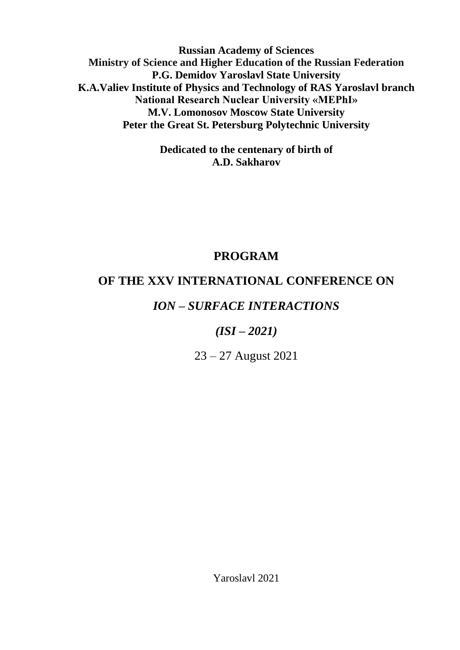**Russian Academy of Sciences Ministry of Science and Higher Education of the Russian Federation P.G. Demidov Yaroslavl State University K.A.Valiev Institute of Physics and Technology of RAS Yaroslavl branch National Research Nuclear University «MEPhI» M.V. Lomonosov Moscow State University Peter the Great St. Petersburg Polytechnic University**

> **Dedicated to the centenary of birth of A.D. Sakharov**

# **PROGRAM**

# **OF THE XXV INTERNATIONAL CONFERENCE ON**

# *ION – SURFACE INTERACTIONS*

# *(ISI – 2021)*

23 – 27 August 2021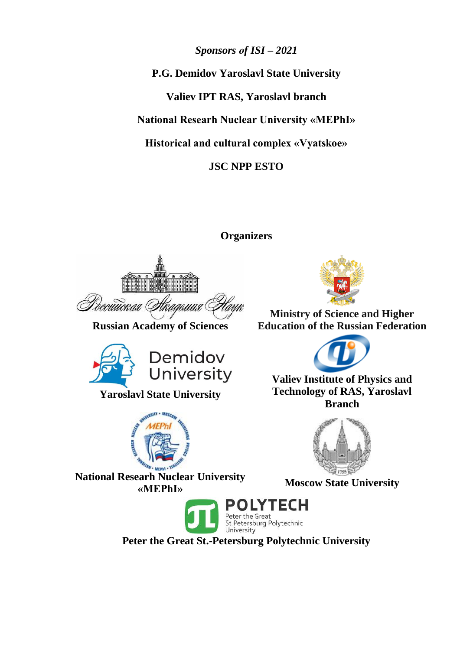*Sponsors оf ISI – 2021* **P.G. Demidov Yaroslavl State University Valiev IPT RAS, Yaroslavl branch National Researh Nuclear University «MEPhI» Historical and cultural complex «Vyatskoe» JSC NPP ESTO**

**Organizers**



**Russian Academy of Sciences**



**Yaroslavl State University**



**National Researh Nuclear University «MEPhI» Moscow State University**



**Ministry of Science and Higher Education of the Russian Federation**



**Valiev Institute of Physics and Technology of RAS, Yaroslavl Branch**





**Peter the Great St.-Petersburg Polytechnic University**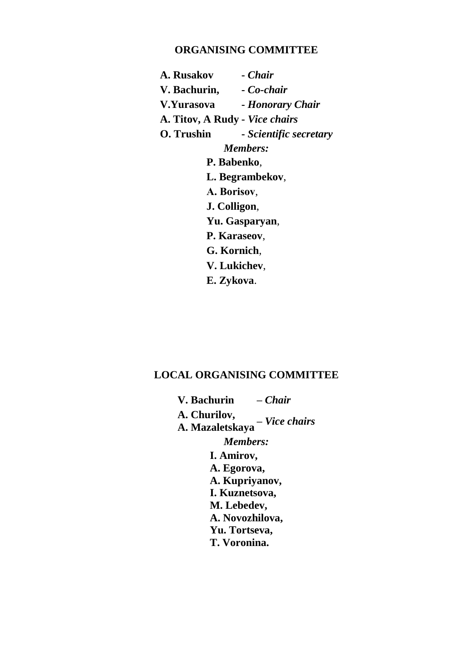## **ORGANISING COMMITTEE**

**A. Rusakov -** *Chair* **V. Bachurin, -** *Co-chair* **V.Yurasova -** *Honorary Chair* **A. Titov, A Rudy -** *Vice chairs* **O. Trushin -** *Scientific secretary Members:* **P. Babenko**, **L. Begrambekov**, **А. Borisov**, **J. Colligon**, **Yu. Gasparyan**, **P. Karaseov**, **G. Kornich**, **V. Lukichev**, **E. Zykova**.

## **LOCAL ORGANISING COMMITTEE**

**V. Bachurin –** *Chair* **A. Churilov, A. Mazaletskaya –** *Vice chairs Members:* **I. Amirov, A. Egorova, A. Kupriyanov, I. Kuznetsova, M. Lebedev, A. Novozhilova, Yu. Tortseva, T. Voronina.**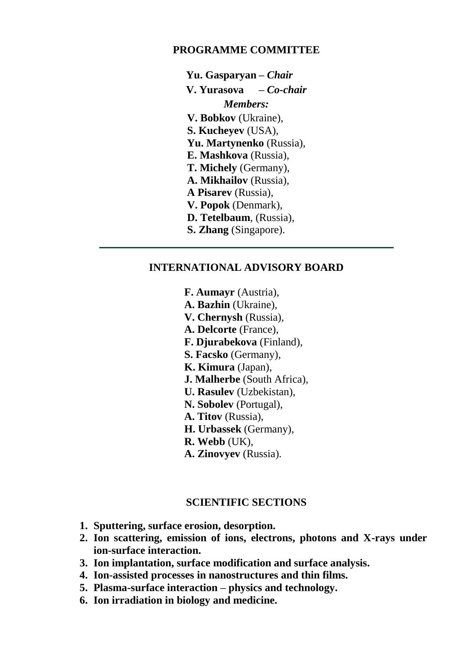## **PROGRAMME COMMITTEE**

**Yu. Gasparyan –** *Chair* **V. Yurasova –** *Co-chair Members:* **V. Bobkov** (Ukraine), **S. Kucheyev** (USA), **Yu. Martynenko** (Russia), **E. Mashkova** (Russia), **T. Michely** (Germany), **A. Mikhailov** (Russia), **A Pisarev** (Russia), **V. Popok** (Denmark), **D. Tetelbaum**, (Russia), **S. Zhang** (Singapore).

## **INTERNATIONAL ADVISORY BOARD**

**F. Aumayr** (Austria), **A. Bazhin** (Ukraine), **V. Chernysh** (Russia), **A. Delcorte** (France), **F. Djurabekova** (Finland), **S. Facsko** (Germany), **K. Kimura** (Japan), **J. Malherbe** (South Africa), **U. Rasulev** (Uzbekistan), **N. Sobolev** (Portugal), **A. Titov** (Russia), **H. Urbassek** (Germany), **R. Webb** (UK), **A. Zinovyev** (Russia).

## **SCIENTIFIC SECTIONS**

- **1. Sputtering, surface erosion, desorption.**
- **2. Ion scattering, emission of ions, electrons, photons and X-rays under ion-surface interaction.**
- **3. Ion implantation, surface modification and surface analysis.**
- **4. Ion-assisted processes in nanostructures and thin films.**
- **5. Plasma-surface interaction – physics and technology.**
- **6. Ion irradiation in biology and medicine.**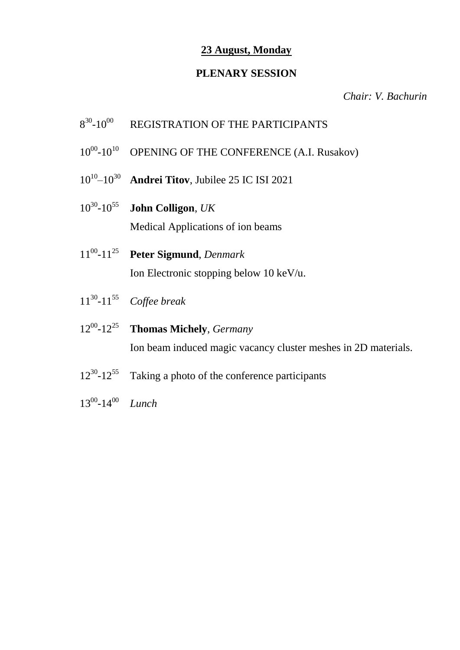# **23 August, Monday**

## **PLENARY SESSION**

*Chair: V. Bachurin*

- 8 30 REGISTRATION OF THE PARTICIPANTS
- $10^{00} 10^{10}$ OPENING OF THE CONFERENCE (A.I. Rusakov)
- $10^{10} 10^{30}$ –10<sup>30</sup> **Andrei Titov**, Jubilee 25 IC ISI 2021
- $10^{30} 10^{55}$ -10<sup>55</sup> **John Colligon**, *UK* Medical Applications of ion beams
- $11^{00} 11^{25}$ -11<sup>25</sup> **Peter Sigmund**, *Denmark* Ion Electronic stopping below 10 keV/u.
- $11^{30} 11^{55}$ Coffee break
- $12^{00} 12^{25}$ **Thomas Michely**, *Germany* Ion beam induced magic vacancy cluster meshes in 2D materials.
- $12^{30} 12^{55}$ Taking a photo of the conference participants
- $13^{00} 14^{00}$ Lunch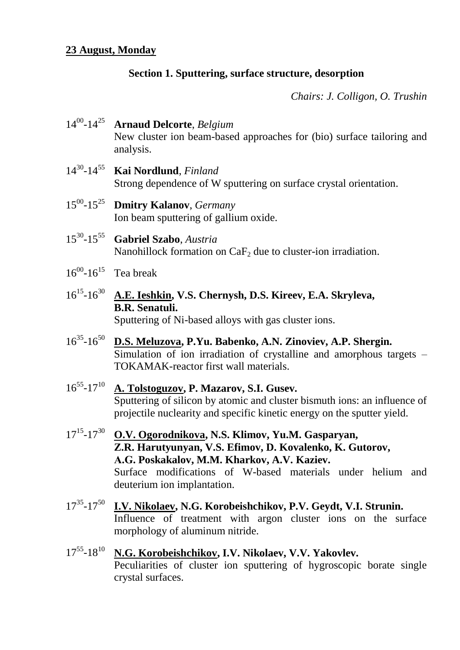# **Section 1. Sputtering, surface structure, desorption**

*Chairs: J. Colligon, O. Trushin*

- 14<sup>00</sup> -14<sup>25</sup> **Arnaud Delcorte**, *Belgium* New cluster ion beam-based approaches for (bio) surface tailoring and analysis.
- 14<sup>30</sup> -14<sup>55</sup> **Kai Nordlund**, *Finland* Strong dependence of W sputtering on surface crystal orientation.
- $15^{00} 15^{25}$ **Dmitry Kalanov**, *Germany* Ion beam sputtering of gallium oxide.
- $15^{30} 15^{55}$ -15<sup>55</sup> **Gabriel Szabo**, *Austria* Nanohillock formation on  $CaF<sub>2</sub>$  due to cluster-ion irradiation.
- $16^{00}$ - $16^{15}$  Tea break
- 16<sup>15</sup> -16<sup>30</sup> **A.E. Ieshkin, V.S. Chernysh, D.S. Kireev, E.A. Skryleva, B.R. Senatuli.** Sputtering of Ni-based alloys with gas cluster ions.
- $16^{35} 16^{50}$ -16<sup>50</sup> **D.S. Meluzova, P.Yu. Babenko, A.N. Zinoviev, A.P. Shergin.** Simulation of ion irradiation of crystalline and amorphous targets – TOKAMAK-reactor first wall materials.
- 16<sup>55</sup> -17<sup>10</sup> **A. Tolstoguzov, P. Mazarov, S.I. Gusev.** Sputtering of silicon by atomic and cluster bismuth ions: an influence of projectile nuclearity and specific kinetic energy on the sputter yield.
- 17<sup>15</sup> -17<sup>30</sup> **O.V. Ogorodnikova, N.S. Klimov, Yu.M. Gasparyan, Z.R. Harutyunyan, V.S. Efimov, D. Kovalenko, K. Gutorov, А.G. Poskakalov, M.M. Kharkov, A.V. Kaziev.** Surface modifications of W-based materials under helium and deuterium ion implantation.
- 17<sup>35</sup>-17<sup>50</sup> **I.V. Nikolaev, N.G. Korobeishchikov, P.V. Geydt, V.I. Strunin.** Influence of treatment with argon cluster ions on the surface morphology of aluminum nitride.
- $17^{55} 18^{10}$ -18<sup>10</sup> **N.G. Korobeishchikov, I.V. Nikolaev, V.V. Yakovlev.** Peculiarities of cluster ion sputtering of hygroscopic borate single crystal surfaces.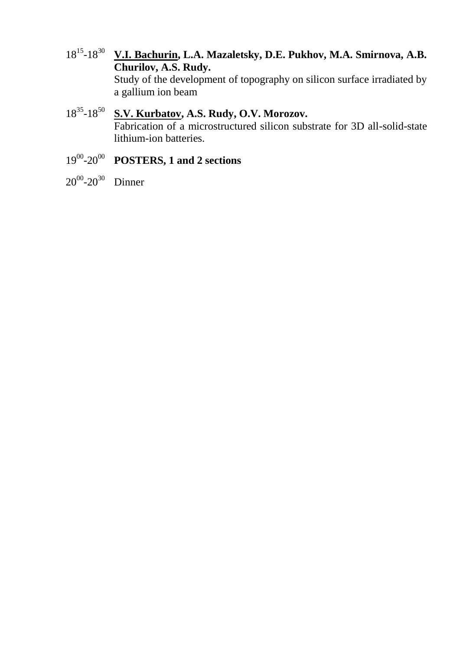18<sup>15</sup>-18<sup>30</sup> V.I. Bachurin, L.A. Mazaletsky, D.E. Pukhov, M.A. Smirnova, A.B. **Churilov, A.S. Rudy.**

Study of the development of topography on silicon surface irradiated by a gallium ion beam

# 18<sup>35</sup> -18<sup>50</sup> **S.V. Kurbatov, A.S. Rudy, O.V. Morozov.** Fabrication of a microstructured silicon substrate for 3D all-solid-state lithium-ion batteries.

## 19<sup>00</sup> -20<sup>00</sup> **POSTERS, 1 and 2 sections**

 $20^{00} - 20^{30}$  Dinner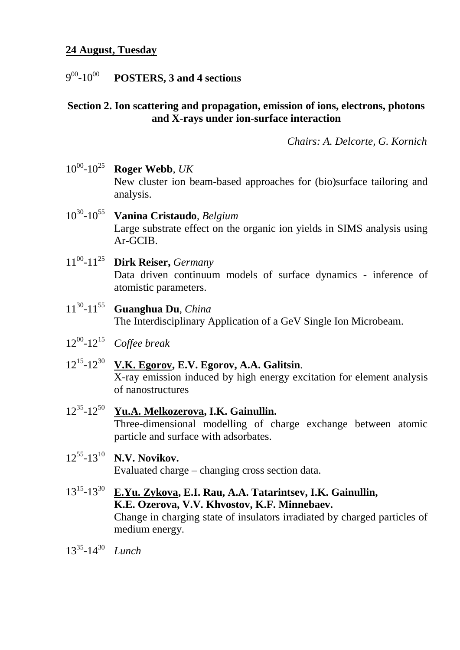## **24 August, Tuesday**

#### $9^{00}$ -10<sup>00</sup> **POSTERS, 3 and 4 sections**

## **Section 2. Ion scattering and propagation, emission of ions, electrons, photons and X-rays under ion-surface interaction**

*Chairs: A. Delcorte, G. Kornich*

- 10<sup>00</sup> -10<sup>25</sup> **Roger Webb**, *UK* New cluster ion beam-based approaches for (bio)surface tailoring and analysis.
- 10<sup>30</sup> -10<sup>55</sup> **Vanina Cristaudo***, Belgium* Large substrate effect on the organic ion yields in SIMS analysis using Ar-GCIB.
- 11<sup>00</sup> -11<sup>25</sup> **Dirk Reiser,** *Germany* Data driven continuum models of surface dynamics - inference of atomistic parameters.
- $11^{30} 11^{55}$ -11<sup>55</sup> **Guanghua Du***, China* The Interdisciplinary Application of a GeV Single Ion Microbeam.
- 12<sup>00</sup> -12<sup>15</sup> *Coffee break*
- 12<sup>15</sup> -12<sup>30</sup> **V.K. Egorov, E.V. Egorov, A.A. Galitsin**. X-ray emission induced by high energy excitation for element analysis of nanostructures
- $12^{35} 12^{50}$ -12<sup>50</sup> **Yu.A. Melkozerova, I.K. Gainullin.** Three-dimensional modelling of charge exchange between atomic particle and surface with adsorbates.
- 12<sup>55</sup> -13<sup>10</sup> **N.V. Novikov.** Evaluated charge – changing cross section data.
- 13<sup>15</sup> -13<sup>30</sup> **E.Yu. Zykova, E.I. Rau, A.A. Tatarintsev, I.K. Gainullin, K.E. Ozerova, V.V. Khvostov, K.F. Minnebaev.** Change in charging state of insulators irradiated by charged particles of medium energy.
- 13<sup>35</sup> -14<sup>30</sup> *Lunch*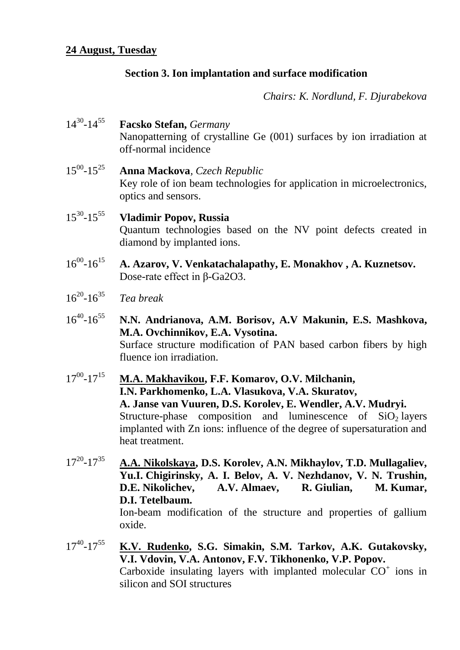# **Section 3. Ion implantation and surface modification**

*Chairs: K. Nordlund, F. Djurabekova*

| $14^{30} - 14^{55}$ | <b>Facsko Stefan</b> , Germany<br>Nanopatterning of crystalline Ge (001) surfaces by ion irradiation at<br>off-normal incidence                                                                                                                                                                                                 |
|---------------------|---------------------------------------------------------------------------------------------------------------------------------------------------------------------------------------------------------------------------------------------------------------------------------------------------------------------------------|
| $15^{00} - 15^{25}$ | <b>Anna Mackova</b> , Czech Republic<br>Key role of ion beam technologies for application in microelectronics,<br>optics and sensors.                                                                                                                                                                                           |
| $15^{30} - 15^{55}$ | <b>Vladimir Popov, Russia</b><br>Quantum technologies based on the NV point defects created in<br>diamond by implanted ions.                                                                                                                                                                                                    |
| $16^{00} - 16^{15}$ | A. Azarov, V. Venkatachalapathy, E. Monakhov, A. Kuznetsov.<br>Dose-rate effect in $\beta$ -Ga2O3.                                                                                                                                                                                                                              |
| $16^{20} - 16^{35}$ | Tea break                                                                                                                                                                                                                                                                                                                       |
| $16^{40} - 16^{55}$ | N.N. Andrianova, A.M. Borisov, A.V Makunin, E.S. Mashkova,<br>M.A. Ovchinnikov, E.A. Vysotina.<br>Surface structure modification of PAN based carbon fibers by high<br>fluence ion irradiation.                                                                                                                                 |
| $17^{00} - 17^{15}$ | M.A. Makhavikou, F.F. Komarov, O.V. Milchanin,<br>I.N. Parkhomenko, L.A. Vlasukova, V.A. Skuratov,<br>A. Janse van Vuuren, D.S. Korolev, E. Wendler, A.V. Mudryi.<br>Structure-phase composition and luminescence of $SiO2$ layers<br>implanted with Zn ions: influence of the degree of supersaturation and<br>heat treatment. |
| $17^{20} - 17^{35}$ | A.A. Nikolskaya, D.S. Korolev, A.N. Mikhaylov, T.D. Mullagaliev,<br>Yu.I. Chigirinsky, A. I. Belov, A. V. Nezhdanov, V. N. Trushin,<br>D.E. Nikolichev, A.V. Almaev, R. Giulian,<br>M. Kumar,<br>D.I. Tetelbaum.<br>Ion-beam modification of the structure and properties of gallium<br>oxide.                                  |
| $17^{40} - 17^{55}$ | K.V. Rudenko, S.G. Simakin, S.M. Tarkov, A.K. Gutakovsky,                                                                                                                                                                                                                                                                       |

**V.I. Vdovin, V.A. Antonov, F.V. Tikhonenko, V.P. Popov.** Carboxide insulating layers with implanted molecular  $CO<sup>+</sup>$  ions in silicon and SOI structures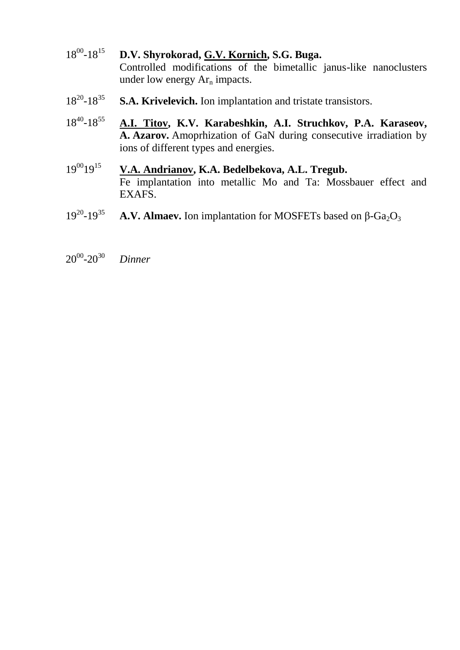- $18^{00} 18^{15}$ -18<sup>15</sup> **D.V. Shyrokorad, G.V. Kornich, S.G. Buga.** Controlled modifications of the bimetallic janus-like nanoclusters under low energy  $Ar_n$  impacts.
- $18^{20} 18^{35}$ **S.A. Krivelevich.** Ion implantation and tristate transistors.
- $18^{40} 18$ <sup>55</sup> **A.I. Titov, K.V. Karabeshkin, A.I. Struchkov, P.A. Karaseov, A. Azarov.** Amoprhization of GaN during consecutive irradiation by ions of different types and energies.
- 19<sup>00</sup>19<sup>15</sup> **V.A. Andrianov, K.A. Bedelbekova, A.L. Tregub.** Fe implantation into metallic Mo and Ta: Mossbauer effect and EXAFS.
- $19^{20} 19^{35}$ **A.V. Almaev.** Ion implantation for MOSFETs based on β-Ga<sub>2</sub>O<sub>3</sub>
- $20^{00}$ -20 <sup>30</sup> *Dinner*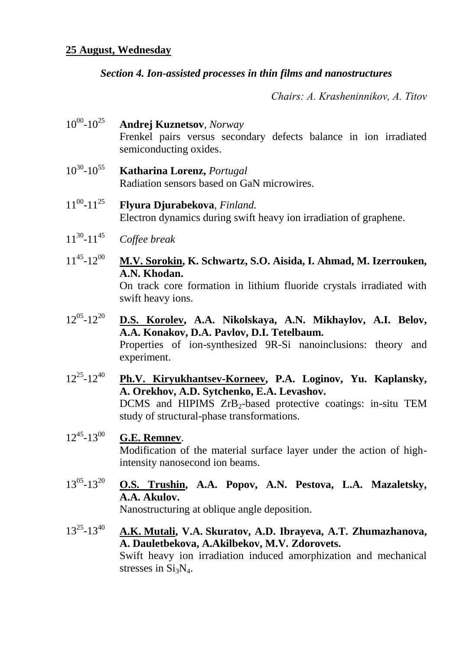## **25 August, Wednesday**

## *Section 4. Ion-assisted processes in thin films and nanostructures*

*Chairs: A. Krasheninnikov, А. Titov*

- $10^{00} 10^{25}$ **Andrej Kuznetsov**, *Norway* Frenkel pairs versus secondary defects balance in ion irradiated semiconducting oxides.
- $10^{30} 10^{55}$ -10<sup>55</sup> **Katharina Lorenz,** *Portugal* Radiation sensors based on GaN microwires.
- $11^{00} 11^{25}$ **Flyura Djurabekova**, *Finland.* Electron dynamics during swift heavy ion irradiation of graphene.
- $11^{30} 11^{45}$  $C$ *offee break*
- $11^{45} 12^{00}$ M.V. Sorokin, K. Schwartz, S.O. Aisida, I. Ahmad, M. Izerrouken, **A.N. Khodan.** On track core formation in lithium fluoride crystals irradiated with swift heavy ions.
- $12^{05} 12^{20}$ D.S. Korolev, A.A. Nikolskaya, A.N. Mikhaylov, A.I. Belov, **A.A. Konakov, D.A. Pavlov, D.I. Tetelbaum.** Properties of ion-synthesized 9R-Si nanoinclusions: theory and experiment.
- $12^{25} 12^{40}$ **Ph.V. Kiryukhantsev-Korneev, P.A. Loginov, Yu. Kaplansky, A. Orekhov, A.D. Sytchenko, E.A. Levashov.** DCMS and HIPIMS ZrB<sub>2</sub>-based protective coatings: in-situ TEM study of structural-phase transformations.

#### $12^{45} - 13^{00}$ -13<sup>00</sup> **G.E. Remnev**.

Modification of the material surface layer under the action of highintensity nanosecond ion beams.

 $13^{05} - 13^{20}$ O.S. Trushin, A.A. Popov, A.N. Pestova, L.A. Mazaletsky, **A.A. Akulov.**

Nanostructuring at oblique angle deposition.

 $13^{25} - 13^{40}$ -13<sup>40</sup> **A.K. Mutali, V.A. Skuratov, A.D. Ibrayeva, A.T. Zhumazhanova, A. Dauletbekova, A.Akilbekov, M.V. Zdorovets.** Swift heavy ion irradiation induced amorphization and mechanical stresses in  $Si<sub>3</sub>N<sub>4</sub>$ .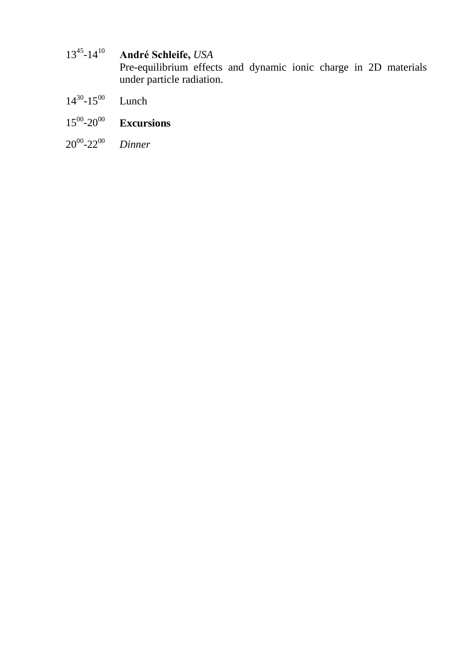#### $13^{45} - 14^{10}$ -14<sup>10</sup> **André Schleife,** *USA*

Pre-equilibrium effects and dynamic ionic charge in 2D materials under particle radiation.

- $14^{30} 15^{00}$ Lunch
- $15^{00} 20^{00}$ **Excursions**
- $20^{00}$ -22 $^{00}$  $Dinner$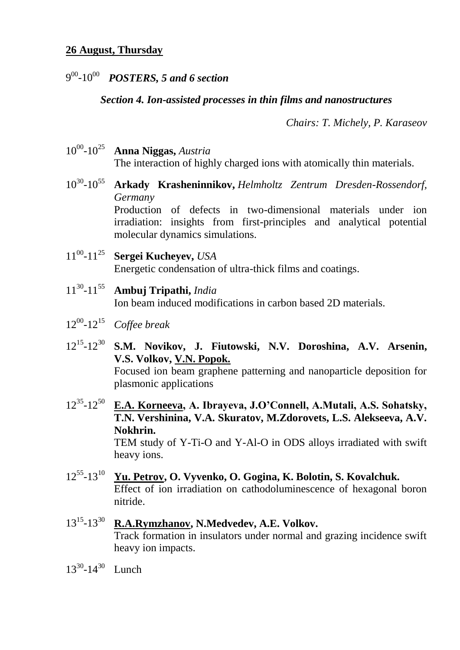# 9 00 -10<sup>00</sup> *POSTERS, 5 and 6 section*

## *Section 4. Ion-assisted processes in thin films and nanostructures*

*Chairs: T. Michely, P. Karaseov*

- 10<sup>00</sup> -10<sup>25</sup> **Anna Niggas,** *Austria* The interaction of highly charged ions with atomically thin materials.
- 10<sup>30</sup> -10<sup>55</sup> **Arkady Krasheninnikov,** *Helmholtz Zentrum Dresden-Rossendorf, Germany* Production of defects in two-dimensional materials under ion irradiation: insights from first-principles and analytical potential molecular dynamics simulations.
- $11^{00}$ - $11^{25}$ -11<sup>25</sup> **Sergei Kucheyev,** *USA* Energetic condensation of ultra-thick films and coatings.
- $11^{30} 11^{55}$ -11<sup>55</sup> **Ambuj Tripathi,** *India* Ion beam induced modifications in carbon based 2D materials.
- 12<sup>00</sup> -12<sup>15</sup> *Coffee break*
- 12<sup>15</sup>-12<sup>30</sup> S.M. Novikov, J. Fiutowski, N.V. Doroshina, A.V. Arsenin, **V.S. Volkov, V.N. Popok.** Focused ion beam graphene patterning and nanoparticle deposition for plasmonic applications
- 12<sup>35</sup>-12<sup>50</sup> E.A. Korneeva, A. Ibrayeva, J.O'Connell, A.Mutali, A.S. Sohatsky, **T.N. Vershinina, V.A. Skuratov, M.Zdorovets, L.S. Alekseeva, A.V. Nokhrin.** TEM study of Y-Ti-O and Y-Al-O in ODS alloys irradiated with swift heavy ions.
- 12<sup>55</sup> -13<sup>10</sup> **Yu. Petrov, O. Vyvenko, O. Gogina, K. Bolotin, S. Kovalchuk.** Effect of ion irradiation on cathodoluminescence of hexagonal boron nitride.
- 13<sup>15</sup>-13<sup>30</sup> R.A.Rymzhanov, N.Medvedev, A.E. Volkov. Track formation in insulators under normal and grazing incidence swift heavy ion impacts.
- 13<sup>30</sup>-14<sup>30</sup> Lunch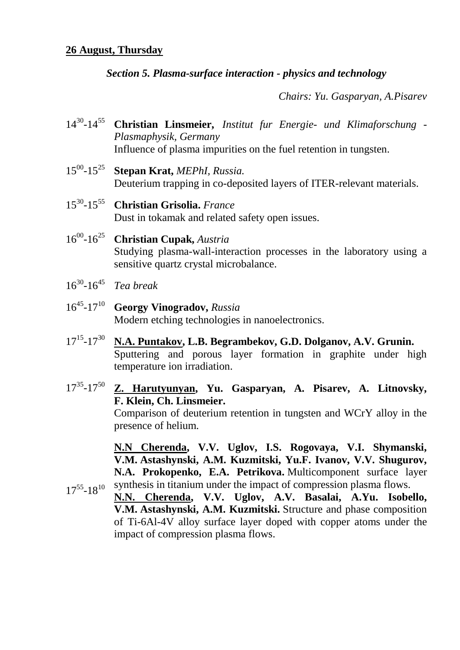## **26 August, Thursday**

## *Section 5. Plasma-surface interaction - physics and technology*

*Chairs: Yu. Gasparyan, A.Pisarev*

- 14<sup>30</sup> -14<sup>55</sup> **Christian Linsmeier,** *Institut fur Energie- und Klimaforschung - Plasmaphysik, Germany* Influence of plasma impurities on the fuel retention in tungsten.
- $15^{00} 15^{25}$ -15<sup>25</sup> **Stepan Krat,** *MEPhI, Russia.* Deuterium trapping in co-deposited layers of ITER-relevant materials.
- $15^{30} 15^{55}$ -15<sup>55</sup> **Christian Grisolia.** *France* Dust in tokamak and related safety open issues.
- $16^{00} 16^{25}$ -16<sup>25</sup> **Christian Cupak,** *Austria* Studying plasma-wall-interaction processes in the laboratory using a sensitive quartz crystal microbalance.
- 16<sup>30</sup> -16<sup>45</sup> *Tea break*
- 16<sup>45</sup> -17<sup>10</sup> **Georgy Vinogradov,** *Russia* Modern etching technologies in nanoelectronics.
- $17^{15} 17^{30}$ N.A. Puntakov, L.B. Begrambekov, G.D. Dolganov, A.V. Grunin. Sputtering and porous layer formation in graphite under high temperature ion irradiation.
- 17<sup>35</sup> -17<sup>50</sup> **Z. Harutyunyan, Yu. Gasparyan, A. Pisarev, A. Litnovsky, F. Klein, Ch. Linsmeier.** Comparison of deuterium retention in tungsten and WCrY alloy in the presence of helium.

**N.N Cherenda, V.V. Uglov, I.S. Rogovaya, V.I. Shymanski, V.M. Astashynski, A.M. Kuzmitski, Yu.F. Ivanov, V.V. Shugurov, N.A. Prokopenko, E.A. Petrikova.** Multicomponent surface layer

 $17^{55} - 18^{10}$  synthesis in titanium under the impact of compression plasma flows. **N.N. Cherenda, V.V. Uglov, A.V. Basalai, A.Yu. Isobello, V.M. Astashynski, A.M. Kuzmitski.** Structure and phase composition of Ti-6Al-4V alloy surface layer doped with copper atoms under the impact of compression plasma flows.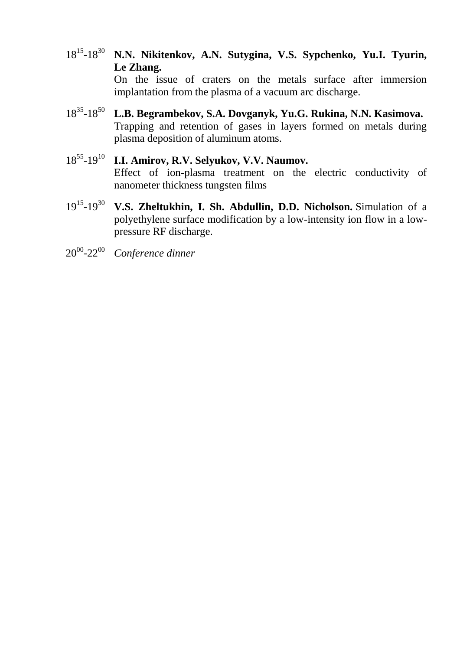- 18<sup>15</sup>-18<sup>30</sup> N.N. Nikitenkov, A.N. Sutygina, V.S. Sypchenko, Yu.I. Tyurin, **Le Zhang.** On the issue of craters on the metals surface after immersion implantation from the plasma of a vacuum arc discharge.
- 18<sup>35</sup> -18<sup>50</sup> **L.B. Begrambekov, S.A. Dovganyk, Yu.G. Rukina, N.N. Kasimova.** Trapping and retention of gases in layers formed on metals during plasma deposition of aluminum atoms.
- 18<sup>55</sup>-19<sup>10</sup> I.I. Amirov, R.V. Selyukov, V.V. Naumov. Effect of ion-plasma treatment on the electric conductivity of nanometer thickness tungsten films
- 19<sup>15</sup>-19<sup>30</sup> V.S. Zheltukhin, I. Sh. Abdullin, D.D. Nicholson. Simulation of a polyethylene surface modification by a low-intensity ion flow in a lowpressure RF discharge.
- 20<sup>00</sup> -22<sup>00</sup> *Conference dinner*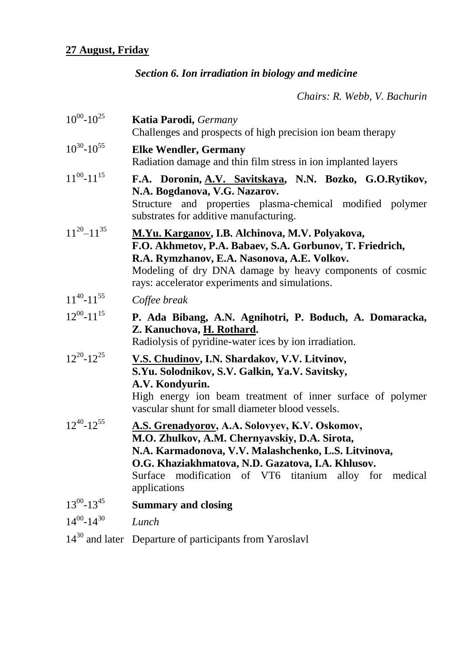# *Section 6. Ion irradiation in biology and medicine*

*Chairs: R. Webb, V. Bachurin*

| $10^{00} - 10^{25}$ | <b>Katia Parodi</b> , <i>Germany</i><br>Challenges and prospects of high precision ion beam therapy                                                                                                                                                                                              |
|---------------------|--------------------------------------------------------------------------------------------------------------------------------------------------------------------------------------------------------------------------------------------------------------------------------------------------|
| $10^{30} - 10^{55}$ | <b>Elke Wendler, Germany</b><br>Radiation damage and thin film stress in ion implanted layers                                                                                                                                                                                                    |
| $11^{00} - 11^{15}$ | F.A. Doronin, A.V. Savitskaya, N.N. Bozko, G.O.Rytikov,<br>N.A. Bogdanova, V.G. Nazarov.<br>Structure and properties plasma-chemical modified polymer<br>substrates for additive manufacturing.                                                                                                  |
| $11^{20} - 11^{35}$ | M.Yu. Karganov, I.B. Alchinova, M.V. Polyakova,<br>F.O. Akhmetov, P.A. Babaev, S.A. Gorbunov, T. Friedrich,<br>R.A. Rymzhanov, E.A. Nasonova, A.E. Volkov.<br>Modeling of dry DNA damage by heavy components of cosmic<br>rays: accelerator experiments and simulations.                         |
| $11^{40} - 11^{55}$ | Coffee break                                                                                                                                                                                                                                                                                     |
| $12^{00} - 11^{15}$ | P. Ada Bibang, A.N. Agnihotri, P. Boduch, A. Domaracka,<br>Z. Kanuchova, H. Rothard.<br>Radiolysis of pyridine-water ices by ion irradiation.                                                                                                                                                    |
| $12^{20} - 12^{25}$ | V.S. Chudinov, I.N. Shardakov, V.V. Litvinov,<br>S.Yu. Solodnikov, S.V. Galkin, Ya.V. Savitsky,<br>A.V. Kondyurin.<br>High energy ion beam treatment of inner surface of polymer<br>vascular shunt for small diameter blood vessels.                                                             |
| $12^{40} - 12^{55}$ | <b>A.S. Grenadyorov, A.A. Solovyev, K.V. Oskomov,</b><br>M.O. Zhulkov, A.M. Chernyavskiy, D.A. Sirota,<br>N.A. Karmadonova, V.V. Malashchenko, L.S. Litvinova,<br>O.G. Khaziakhmatova, N.D. Gazatova, I.A. Khlusov.<br>modification of VT6 titanium alloy for medical<br>Surface<br>applications |
| $13^{00} - 13^{45}$ | <b>Summary and closing</b>                                                                                                                                                                                                                                                                       |
| $14^{00} - 14^{30}$ | Lunch                                                                                                                                                                                                                                                                                            |
|                     | $14^{30}$ and later Departure of participants from Yaroslavl                                                                                                                                                                                                                                     |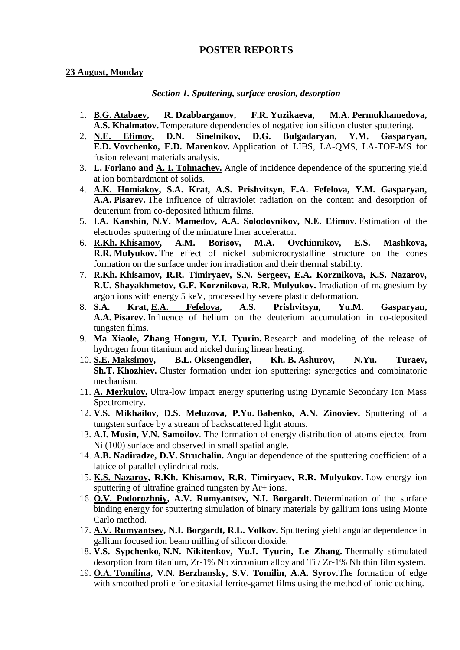## **POSTER REPORTS**

### **23 August, Monday**

#### *Section 1. Sputtering, surface erosion, desorption*

- 1. **B.G. Atabaev, R. Dzabbarganov, F.R. Yuzikaeva, M.A. Permukhamedova, A.S. Khalmatov.** Temperature dependencies of negative ion silicon cluster sputtering.
- 2. **N.E. Efimov, D.N. Sinelnikov, D.G. Bulgadaryan, Y.M. Gasparyan, E.D. Vovchenko, E.D. Marenkov.** Application of LIBS, LA-QMS, LA-TOF-MS for fusion relevant materials analysis.
- 3. **L. Forlano and A. I. Tolmachev.** Angle of incidence dependence of the sputtering yield at ion bombardment of solids.
- 4. **A.K. Homiakov, S.A. Krat, A.S. Prishvitsyn, E.A. Fefelova, Y.M. Gasparyan, A.A. Pisarev.** The influence of ultraviolet radiation on the content and desorption of deuterium from co-deposited lithium films.
- 5. **I.A. Kanshin, N.V. Mamedov, A.A. Solodovnikov, N.Е. Efimov.** Estimation of the electrodes sputtering of the miniature liner accelerator.
- 6. **R.Kh. Khisamov, A.M. Borisov, M.A. Ovchinnikov, E.S. Mashkova, R.R. Mulyukov.** The effect of nickel submicrocrystalline structure on the cones formation on the surface under ion irradiation and their thermal stability.
- 7. **R.Kh. Khisamov, R.R. Timiryaev, S.N. Sergeev, E.A. Korznikova, K.S. Nazarov, R.U. Shayakhmetov, G.F. Korznikova, R.R. Mulyukov.** Irradiation of magnesium by argon ions with energy 5 keV, processed by severe plastic deformation.
- 8. **S.A. Krat, E.A. Fefelova, A.S. Prishvitsyn, Yu.M. Gasparyan, A.A. Pisarev.** Influence of helium on the deuterium accumulation in co-deposited tungsten films.
- 9. **Ma Xiaole, Zhang Hongru, Y.I. Tyurin.** Research and modeling of the release of hydrogen from titanium and nickel during linear heating.
- 10. **S.E. Maksimov, B.L. Oksengendler, Kh. B. Ashurov, N.Yu. Turaev, Sh.T. Khozhiev.** Cluster formation under ion sputtering: synergetics and combinatoric mechanism.
- 11. **A. Merkulov.** Ultra-low impact energy sputtering using Dynamic Secondary Ion Mass Spectrometry.
- 12. **V.S. Mikhailov, D.S. Meluzova, P.Yu. Babenko, A.N. Zinoviev.** Sputtering of a tungsten surface by a stream of backscattered light atoms.
- 13. **A.I. Musin, V.N. Samoilov**. The formation of energy distribution of atoms ejected from Ni (100) surface and observed in small spatial angle.
- 14. **A.B. Nadiradze, D.V. Struchalin.** Angular dependence of the sputtering coefficient of a lattice of parallel cylindrical rods.
- 15. **K.S. Nazarov, R.Kh. Khisamov, R.R. Timiryaev, R.R. Mulyukov.** Low-energy ion sputtering of ultrafine grained tungsten by Ar+ ions.
- 16. **O.V. Podorozhniy, A.V. Rumyantsev, N.I. Borgardt.** Determination of the surface binding energy for sputtering simulation of binary materials by gallium ions using Monte Carlo method.
- 17. **A.V. Rumyantsev, N.I. Borgardt, R.L. Volkov.** Sputtering yield angular dependence in gallium focused ion beam milling of silicon dioxide.
- 18. **V.S. Sypchenko, N.N. Nikitenkov, Yu.I. Tyurin, Le Zhang.** Thermally stimulated desorption from titanium, Zr-1% Nb zirconium alloy and Ti / Zr-1% Nb thin film system.
- 19. **О.А. Tomilina, V.N. Berzhansky, S.V. Tomilin, A.A. Syrov.**The formation of edge with smoothed profile for epitaxial ferrite-garnet films using the method of ionic etching.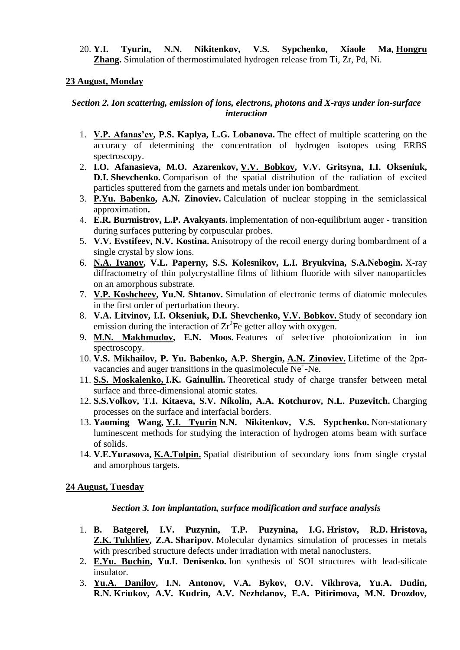20. **Y.I. Tyurin, N.N. Nikitenkov, V.S. Sypchenko, Xiaole Ma, Hongru Zhang.** Simulation of thermostimulated hydrogen release from Ti, Zr, Pd, Ni.

## **23 August, Monday**

### *Section 2. Ion scattering, emission of ions, electrons, photons and X-rays under ion-surface interaction*

- 1. **V.P. Afanas'ev, P.S. Kaplya, L.G. Lobanova.** The effect of multiple scattering on the accuracy of determining the concentration of hydrogen isotopes using ERBS spectroscopy.
- 2. **I.O. Afanasіeva, M.O. Azarenkov, V.V. Bobkov, V.V. Gritsyna, I.I. Okseniuk, D.I. Shevchenko.** Comparison of the spatial distribution of the radiation of excited particles sputtered from the garnets and metals under ion bombardment.
- 3. **P.Yu. Babenko, A.N. Zinoviev.** Calculation of nuclear stopping in the semiclassical approximation**.**
- 4. **E.R. Burmistrov, L.P. Avakyants.** Implementation of non-equilibrium auger transition during surfaces puttering by corpuscular probes.
- 5. **V.V. Evstifeev, N.V. Kostina.** Anisotropy of the recoil energy during bombardment of a single crystal by slow ions.
- 6. **N.A. Ivanov, V.L. Paperny, S.S. Kolesnikov, L.I. Bryukvina, S.A.Nebogin.** X-ray diffractometry of thin polycrystalline films of lithium fluoride with silver nanoparticles on an amorphous substrate.
- 7. **V.P. Koshcheev, Yu.N. Shtanov.** Simulation of electronic terms of diatomic molecules in the first order of perturbation theory.
- 8. **V.A. Litvinov, I.I. Okseniuk, D.I. Shevchenko, V.V. Bobkov.** Study of secondary ion emission during the interaction of  $Zr^2$ Fe getter alloy with oxygen.
- 9. **M.N. Makhmudov, E.N. Moos.** Features of selective photoionization in ion spectroscopy.
- 10. **V.S. Mikhailov, P. Yu. Babenko, A.P. Shergin, A.N. Zinoviev.** Lifetime of the 2pπvacancies and auger transitions in the quasimolecule  $Ne<sup>+</sup>-Ne$ .
- 11. **S.S. Moskalenko, I.K. Gainullin.** Theoretical study of charge transfer between metal surface and three-dimensional atomic states.
- 12. **S.S.Volkov, T.I. Kitaeva, S.V. Nikolin, A.A. Kotchurov, N.L. Puzevitch.** Charging processes on the surface and interfacial borders.
- 13. **Yaoming Wang, Y.I. Tyurin N.N. Nikitenkov, V.S. Sypchenko.** Non-stationary luminescent methods for studying the interaction of hydrogen atoms beam with surface of solids.
- 14. **V.E.Yurasova, K.A.Tolpin.** Spatial distribution of secondary ions from single crystal and amorphous targets.

### **24 August, Tuesday**

### *Section 3. Ion implantation, surface modification and surface analysis*

- 1. **B. Batgerel, I.V. Puzynin, T.P. Puzynina, I.G. Hristov, R.D. Hristova, Z.K. Tukhliev, Z.A. Sharipov.** Molecular dynamics simulation of processes in metals with prescribed structure defects under irradiation with metal nanoclusters.
- 2. **E.Yu. Buchin, Yu.I. Denisenko.** Ion synthesis of SOI structures with lead-silicate insulator.
- 3. **Yu.A. Danilov, I.N. Antonov, V.A. Bykov, O.V. Vikhrova, Yu.A. Dudin, R.N. Kriukov, A.V. Kudrin, A.V. Nezhdanov, E.A. Pitirimova, M.N. Drozdov,**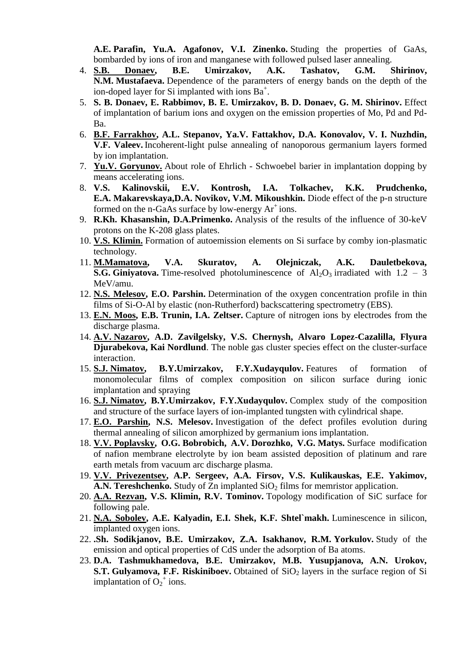**A.E. Parafin, Yu.A. Agafonov, V.I. Zinenko.** Studing the properties of GaAs, bombarded by ions of iron and manganese with followed pulsed laser annealing.

- 4. **S.B. Donaev, B.E. Umirzakov, A.K. Tashatov, G.M. Shirinov, N.M. Mustafaeva.** Dependence of the parameters of energy bands on the depth of the ion-doped layer for Si implanted with ions  $Ba^+$ .
- 5. **S. B. Donaev, E. Rabbimov, B. E. Umirzakov, B. D. Donaev, G. M. Shirinov.** Effect of implantation of barium ions and oxygen on the emission properties of Mo, Pd and Pd-Ba.
- 6. **B.F. Farrakhov, A.L. Stepanov, Ya.V. Fattakhov, D.A. Konovalov, V. I. Nuzhdin, V.F. Valeev.** Incoherent-light pulse annealing of nanoporous germanium layers formed by ion implantation.
- 7. **Yu.V. Goryunov.** About role of Ehrlich Schwoebel barier in implantation dopping by means accelerating ions.
- 8. **V.S. Kalinovskii, E.V. Kontrosh, I.A. Tolkachev, K.K. Prudchenko, E.A. Makarevskaya,D.A. Novikov, V.M. Mikoushkin.** Diode effect of the p-n structure formed on the n-GaAs surface by low-energy  $Ar^+$  ions.
- 9. **R.Kh. Khasanshin, D.A.Primenko.** Analysis of the results of the influence of 30-keV protons on the K-208 glass plates.
- 10. **V.S. Klimin.** Formation of autoemission elements on Si surface by comby ion-plasmatic technology.
- 11. **M.Mamatova, V.A. Skuratov, A. Olejniczak, A.K. Dauletbekova, S.G. Giniyatova.** Time-resolved photoluminescence of  $Al_2O_3$  irradiated with  $1.2 - 3$ MeV/amu.
- 12. **N.S. Melesov, E.O. Parshin.** Determination of the oxygen concentration profile in thin films of Si-O-Al by elastic (non-Rutherford) backscattering spectrometry (EBS).
- 13. **E.N. Moos, E.B. Trunin, I.A. Zeltser.** Capture of nitrogen ions by electrodes from the discharge plasma.
- 14. **A.V. Nazarov, A.D. Zavilgelsky, V.S. Chernysh, Alvaro Lopez-Cazalilla, Flyura Djurabekova, Kai Nordlund**. The noble gas cluster species effect on the cluster-surface interaction.
- 15. **S.J. Nimatov, B.Y.Umirzakov, F.Y.Xudayqulov.** Features of formation of monomolecular films of complex composition on silicon surface during ionic implantation and spraying
- 16. **S.J. Nimatov, B.Y.Umirzakov, F.Y.Xudayqulov.** Complex study of the composition and structure of the surface layers of ion-implanted tungsten with cylindrical shape.
- 17. **E.O. Parshin, N.S. Melesov.** Investigation of the defect profiles evolution during thermal annealing of silicon amorphized by germanium ions implantation.
- 18. **V.V. Poplavsky, O.G. Bobrobich, A.V. Dorozhko, V.G. Matys.** Surface modification of nafion membrane electrolyte by ion beam assisted deposition of platinum and rare earth metals from vacuum arc discharge plasma.
- 19. **V.V. Privezentsev, A.P. Sergeev, A.A. Firsov, V.S. Kulikauskas, E.E. Yakimov, A.N. Tereshchenko.** Study of Zn implanted SiO<sub>2</sub> films for memristor application.
- 20. **A.A. Rezvan, V.S. Klimin, R.V. Tominov.** Topology modification of SiC surface for following pale.
- 21. **N.A. Sobolev, A.E. Kalyadin, E.I. Shek, K.F. Shtel`makh.** Luminescence in silicon, implanted oxygen ions.
- 22. **.Sh. Sodikjanov, B.E. Umirzakov, Z.A. Isakhanov, R.M. Yorkulov.** Study of the emission and optical properties of CdS under the adsorption of Ba atoms.
- 23. **D.A. Tashmukhamedova, B.E. Umirzakov, M.B. Yusupjanova, A.N. Urokov, S.T.** Gulvamova, F.F. Riskiniboev. Obtained of SiO<sub>2</sub> layers in the surface region of Si implantation of  $O_2^+$  ions.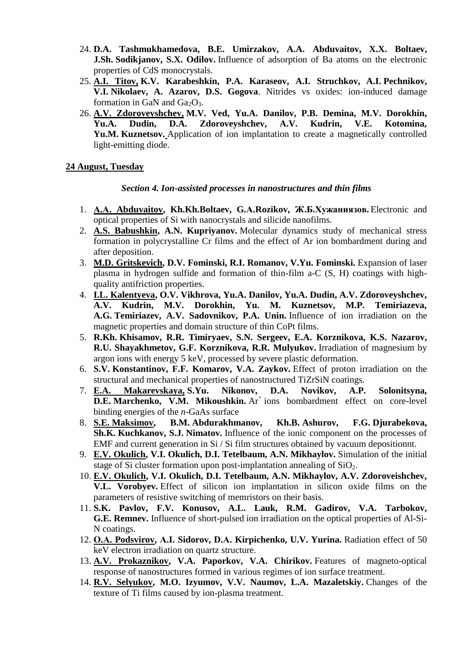- 24. **D.A. Tashmukhamedova, B.E. Umirzakov, A.A. Abduvaitov, X.X. Boltaev, J.Sh. Sodikjanov, S.X. Odilov.** Influence of adsorption of Ba atoms on the electronic properties of CdS monocrystals.
- 25. **A.I. Titov, K.V. Karabeshkin, P.A. Karaseov, A.I. Struchkov, A.I. Pechnikov, V.I. Nikolaev, A. Azarov, D.S. Gogova**. Nitrides vs oxides: ion-induced damage formation in GaN and  $Ga<sub>2</sub>O<sub>3</sub>$ .
- 26. **A.V. Zdoroveyshchev, M.V. Ved, Yu.A. Danilov, P.B. Demina, M.V. Dorokhin, Yu.A. Dudin, D.A. Zdoroveyshchev, A.V. Kudrin, V.E. Kotomina, Yu.M. Kuznetsov.** Application of ion implantation to create a magnetically controlled light-emitting diode.

### **24 August, Tuesday**

### *Section 4. Ion-assisted processes in nanostructures and thin films*

- 1. **А.А. Abduvaitov, Kh.Kh.Boltaev, G.А.Rozikov, Ж.Б.Хужаниязов.** Electronic and optical properties of Si with nanocrystals and silicide nanofilms.
- 2. **A.S. Babushkin, A.N. Kupriyanov.** Molecular dynamics study of mechanical stress formation in polycrystalline Cr films and the effect of Ar ion bombardment during and after deposition.
- 3. **M.D. Gritskevich, D.V. Fominski, R.I. Romanov, V.Yu. Fominski.** Expansion of laser plasma in hydrogen sulfide and formation of thin-film a-C (S, H) coatings with highquality antifriction properties.
- 4. **I.L. Kalentyeva, O.V. Vikhrova, Yu.A. Danilov, Yu.A. Dudin, A.V. Zdoroveyshchev, A.V. Kudrin, M.V. Dorokhin, Yu. M. Kuznetsov, M.P. Temiriazeva, A.G. Temiriazev, A.V. Sadovnikov, P.A. Unin.** Influence of ion irradiation on the magnetic properties and domain structure of thin CoPt films.
- 5. **R.Kh. Khisamov, R.R. Timiryaev, S.N. Sergeev, E.A. Korznikova, K.S. Nazarov, R.U. Shayakhmetov, G.F. Korznikova, R.R. Mulyukov.** Irradiation of magnesium by argon ions with energy 5 keV, processed by severe plastic deformation.
- 6. **S.V. Konstantinov, F.F. Komarov, V.A. Zaykov.** Effect of proton irradiation on the structural and mechanical properties of nanostructured TiZrSiN coatings.
- 7. **E.A. Makarevskaya, S.Yu. Nikonov, D.A. Novikov, A.P. Solonitsyna, D.E. Marchenko, V.M. Mikoushkin.** Ar<sup>+</sup> ions bombardment effect on core-level binding energies of the *n*-GaAs surface
- 8. **S.E. Maksimov, B.M. Abdurakhmanov, Kh.B. Ashurov, F.G. Djurabekova, Sh.K. Kuchkanov, S.J. Nimatov.** Influence of the ionic component on the processes of EMF and current generation in Si / Si film structures obtained by vacuum depositionnt.
- 9. **E.V. Okulich, V.I. Okulich, D.I. Tetelbaum, A.N. Mikhaylov.** Simulation of the initial stage of Si cluster formation upon post-implantation annealing of  $SiO<sub>2</sub>$ .
- 10. **E.V. Okulich, V.I. Okulich, D.I. Tetelbaum, A.N. Mikhaylov, A.V. Zdoroveishchev, V.L. Vorobyev.** Effect of silicon ion implantation in silicon oxide films on the parameters of resistive switching of memristors on their basis.
- 11. **S.K. Pavlov, F.V. Konusov, A.L. Lauk, R.M. Gadirov, V.A. Tarbokov, G.E. Remnev.** Influence of short-pulsed ion irradiation on the optical properties of Al-Si-N coatings.
- 12. **О.А. Podsvirov, А.I. Sidorov, D.А. Kirpichenko, U.V. Yurina.** Radiation effect of 50 keV electron irradiation on quartz structure.
- 13. **A.V. Prokaznikov, V.A. Paporkov, V.A. Chirikov.** Features of magneto-optical response of nanostructures formed in various regimes of ion surface treatment.
- 14. **R.V. Selyukov, M.O. Izyumov, V.V. Naumov, L.A. Mazaletskiy.** Changes of the texture of Ti films caused by ion-plasma treatment.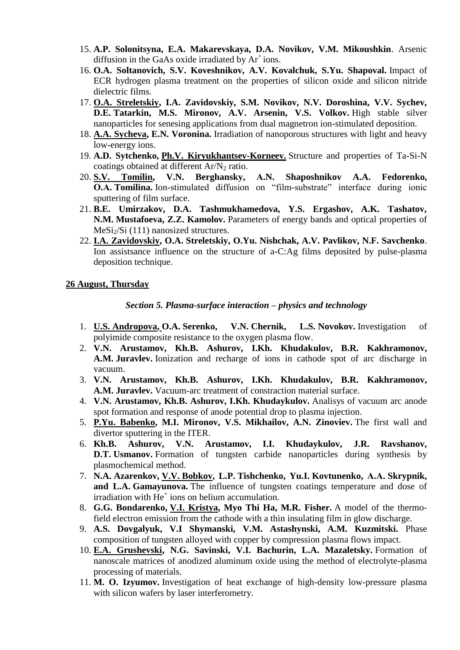- 15. **A.P. Solonitsyna, E.A. Makarevskaya, D.A. Novikov, V.M. Mikoushkin**. Arsenic diffusion in the GaAs oxide irradiated by  $Ar^+$ ions.
- 16. **O.A. Soltanovich, S.V. Koveshnikov, A.V. Kovalchuk, S.Yu. Shapoval.** Impact of ECR hydrogen plasma treatment on the properties of silicon oxide and silicon nitride dielectric films.
- 17. **O.A. Streletskiy, I.A. Zavidovskiy, S.M. Novikov, N.V. Doroshina, V.V. Sychev, D.E. Tatarkin, M.S. Mironov, A.V. Arsenin, V.S. Volkov.** High stable silver nanoparticles for senesing applications from dual magnetron ion-stimulated deposition.
- 18. **A.A. Sycheva, E.N. Voronina.** Irradiation of nanoporous structures with light and heavy low-energy ions.
- 19. **A.D. Sytchenko, Ph.V. Kiryukhantsev-Korneev.** Structure and properties of Ta-Si-N coatings obtained at different  $Ar/N_2$  ratio.
- 20. **S.V. Tomilin, V.N. Berghansky, А.N. Shaposhnikov A.A. Fedorenko, O.A. Tomilina.** Ion-stimulated diffusion on "film-substrate" interface during ionic sputtering of film surface.
- 21. **B.E. Umirzakov, D.A. Tashmukhamedova, Y.S. Ergashov, A.K. Tashatov, N.M. Mustafoeva, Z.Z. Kamolov.** Parameters of energy bands and optical properties of  $MeSi<sub>2</sub>/Si$  (111) nanosized structures.
- 22. **I.A. Zavidovskiy, O.A. Streletskiy, O.Yu. Nishchak, A.V. Pavlikov, N.F. Savchenko**. Ion assistsance influence on the structure of a-C:Ag films deposited by pulse-plasma deposition technique.

### **26 August, Thursday**

### *Section 5. Plasma-surface interaction – physics and technology*

- 1. **U.S. Andropova, O.A. Serenko, V.N. Chernik, L.S. Novokov.** Investigation of polyimide composite resistance to the oxygen plasma flow.
- 2. **V.N. Arustamov, Kh.B. Ashurov, I.Kh. Khudakulov, B.R. Kakhramonov, A.M. Juravlev.** Ionization and recharge of ions in cathode spot of arc discharge in vacuum.
- 3. **V.N. Arustamov, Kh.B. Ashurov, I.Kh. Khudakulov, B.R. Kakhramonov, A.M. Juravlev.** Vacuum-arc treatment of constraction material surface.
- 4. **V.N. Arustamov, Kh.B. Ashurov, I.Kh. Khudaykulov.** Analisys of vacuum arc anode spot formation and response of anode potential drop to plasma injection.
- 5. **P.Yu. Babenko, M.I. Mironov, V.S. Mikhailov, A.N. Zinoviev.** The first wall and divertor sputtering in the ITER.
- 6. **Kh.B. Ashurov, V.N. Arustamov, I.I. Khudaykulov, J.R. Ravshanov, D.T.** Usmanov. Formation of tungsten carbide nanoparticles during synthesis by plasmochemical method.
- 7. **N.A. Azarenkov, V.V. Bobkov, L.P. Tishchenko, Yu.I. Kovtunenko, А.А. Skrypnik, and L.A. Gamayunova.** The influence of tungsten coatings temperature and dose of irradiation with  $He<sup>+</sup>$  ions on helium accumulation.
- 8. **G.G. Bondarenko, V.I. Kristya, Myo Thi Ha, M.R. Fisher.** A model of the thermofield electron emission from the cathode with a thin insulating film in glow discharge.
- 9. **A.S. Dovgalyuk, V.I Shymanski, V.M. Astashynski, A.M. Kuzmitski.** Phase composition of tungsten alloyed with copper by compression plasma flows impact.
- 10. **E.A. Grushevski, N.G. Savinski, V.I. Bachurin, L.A. Mazaletsky.** Formation of nanoscale matrices of anodized aluminum oxide using the method of electrolyte-plasma processing of materials.
- 11. **M. O. Izyumov.** Investigation of heat exchange of high-density low-pressure plasma with silicon wafers by laser interferometry.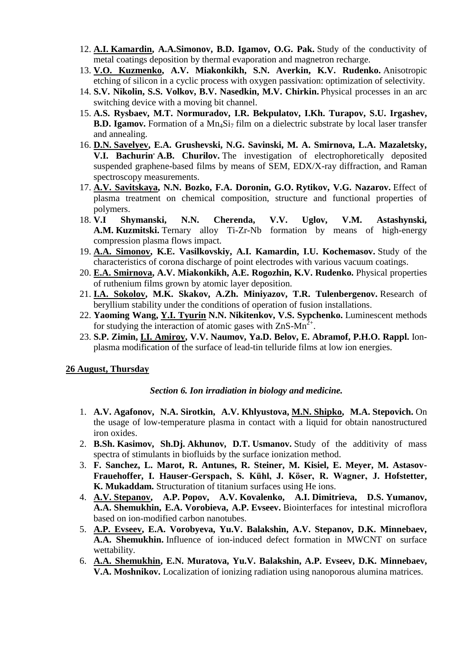- 12. **A.I. Kamardin, A.A.Simonov, B.D. Igamov, O.G. Pak.** Study of the conductivity of metal coatings deposition by thermal evaporation and magnetron recharge.
- 13. **V.O. Kuzmenko, A.V. Miakonkikh, S.N. Averkin, K.V. Rudenko.** Anisotropic etching of silicon in a cyclic process with oxygen passivation: optimization of selectivity.
- 14. **S.V. Nikolin, S.S. Volkov, B.V. Nasedkin, M.V. Chirkin.** Physical processes in an arc switching device with a moving bit channel.
- 15. **A.S. Rysbaev, M.T. Normuradov, I.R. Bekpulatov, I.Kh. Turapov, S.U. Irgashev, B.D. Igamov.** Formation of a Mn<sub>4</sub>Si<sub>7</sub> film on a dielectric substrate by local laser transfer and annealing.
- 16. **D.N. Savelyev, E.A. Grushevski, N.G. Savinski, M. A. Smirnova, L.A. Mazaletsky, V.I. Bachurin, A.B. Churilov.** The investigation of electrophoretically deposited suspended graphene-based films by means of SEM, EDX/X-ray diffraction, and Raman spectroscopy measurements.
- 17. **A.V. Savitskaya, N.N. Bozko, F.A. Doronin, G.O. Rytikov, V.G. Nazarov.** Effect of plasma treatment on chemical composition, structure and functional properties of polymers.
- 18. **V.I Shymanski, N.N. Cherenda, V.V. Uglov, V.M. Astashynski, A.M. Kuzmitski.** Ternary alloy Ti-Zr-Nb formation by means of high-energy compression plasma flows impact.
- 19. **A.A. Simonov, K.E. Vasilkovskiy, A.I. Kamardin, I.U. Kochemasov.** Study of the characteristics of corona discharge of point electrodes with various vacuum coatings.
- 20. **E.A. Smirnova, A.V. Miakonkikh, A.E. Rogozhin, K.V. Rudenko.** Physical properties of ruthenium films grown by atomic layer deposition.
- 21. **I.A. Sokolov, M.K. Skakov, A.Zh. Miniyazov, T.R. Tulenbergenov.** Research of beryllium stability under the conditions of operation of fusion installations.
- 22. **Yaoming Wang, Y.I. Tyurin N.N. Nikitenkov, V.S. Sypchenko.** Luminescent methods for studying the interaction of atomic gases with  $\text{ZnS-Mn}^{\bar{2}+}$ .
- 23. **S.P. Zimin, I.I. Amirov, V.V. Naumov, Ya.D. Belov, E. Abramof, P.H.O. Rappl.** Ionplasma modification of the surface of lead-tin telluride films at low ion energies.

### **26 August, Thursday**

#### *Section 6. Ion irradiation in biology and medicine.*

- 1. **A.V. Agafonov, N.A. Sirotkin, A.V. Khlyustova, M.N. Shipko, M.A. Stepovich.** On the usage of low-temperature plasma in contact with a liquid for obtain nanostructured iron oxides.
- 2. **B.Sh. Kasimov, Sh.Dj. Akhunov, D.T. Usmanov.** Study of the additivity of mass spectra of stimulants in biofluids by the surface ionization method.
- 3. **F. Sanchez, L. Marot, R. Antunes, R. Steiner, M. Kisiel, E. Meyer, M. Astasov-Frauehoffer, I. Hauser-Gerspach, S. Kühl, J. Köser, R. Wagner, J. Hofstetter, K. Mukaddam.** Structuration of titanium surfaces using He ions.
- 4. **A.V. Stepanov, A.P. Popov, A.V. Kovalenko, A.I. Dimitrieva, D.S. Yumanov, A.A. Shemukhin, E.A. Vorobieva, A.P. Evseev.** Biointerfaces for intestinal microflora based on ion-modified carbon nanotubes.
- 5. **A.P. Evseev, E.A. Vorobyeva, Yu.V. Balakshin, A.V. Stepanov, D.K. Minnebaev, A.A. Shemukhin.** Influence of ion-induced defect formation in MWCNT on surface wettability.
- 6. **A.A. Shemukhin, E.N. Muratova, Yu.V. Balakshin, A.P. Evseev, D.K. Minnebaev, V.A. Moshnikov.** Localization of ionizing radiation using nanoporous alumina matrices.